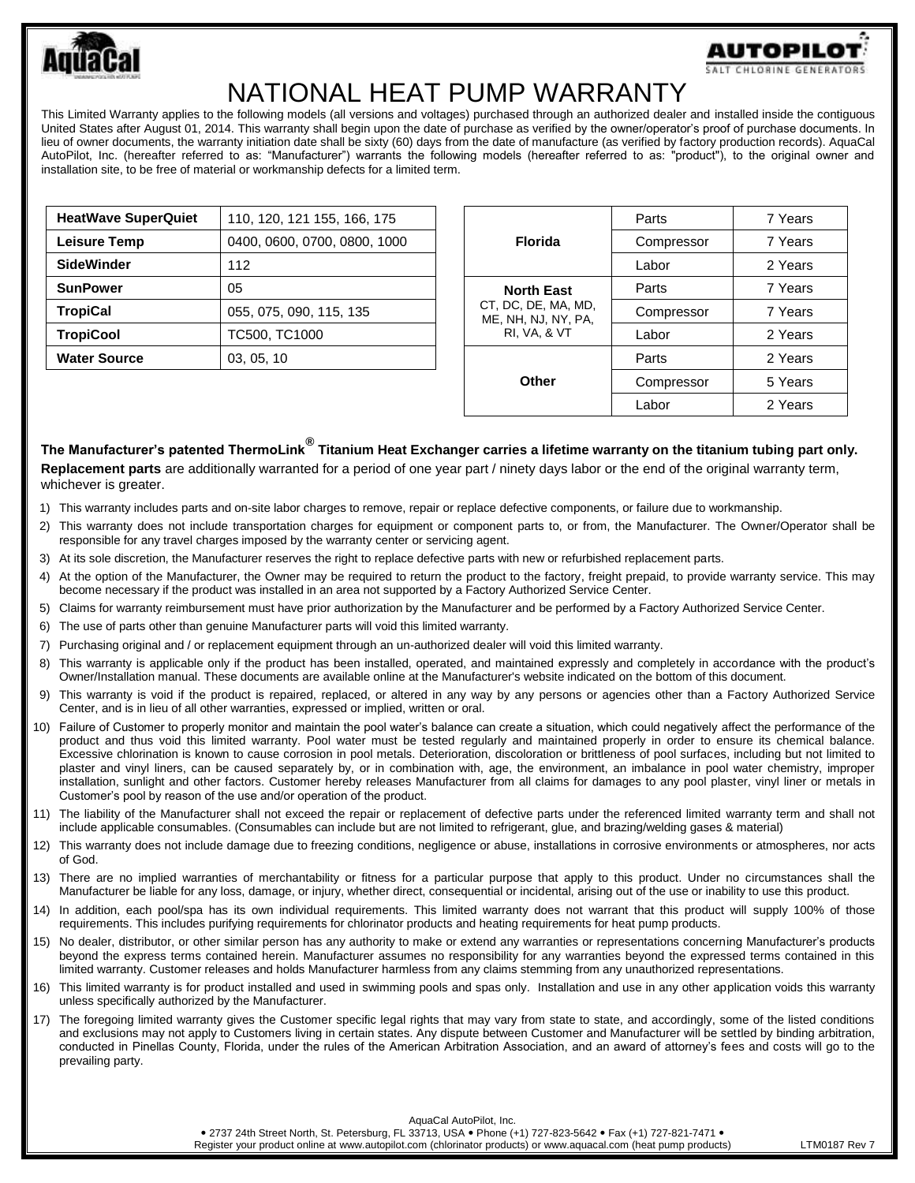

## NATIONAL HEAT PUMP WARRANTY

This Limited Warranty applies to the following models (all versions and voltages) purchased through an authorized dealer and installed inside the contiguous United States after August 01, 2014. This warranty shall begin upon the date of purchase as verified by the owner/operator's proof of purchase documents. In lieu of owner documents, the warranty initiation date shall be sixty (60) days from the date of manufacture (as verified by factory production records). AquaCal AutoPilot, Inc. (hereafter referred to as: "Manufacturer") warrants the following models (hereafter referred to as: "product"), to the original owner and installation site, to be free of material or workmanship defects for a limited term.

| <b>HeatWave SuperQuiet</b> | 110, 120, 121 155, 166, 175  |  |
|----------------------------|------------------------------|--|
| <b>Leisure Temp</b>        | 0400, 0600, 0700, 0800, 1000 |  |
| <b>SideWinder</b>          | 112                          |  |
| <b>SunPower</b>            | 05                           |  |
| <b>TropiCal</b>            | 055, 075, 090, 115, 135      |  |
| <b>TropiCool</b>           | TC500, TC1000                |  |
| <b>Water Source</b>        | 03, 05, 10                   |  |

| <b>Florida</b>                                                                             | Parts      | 7 Years |
|--------------------------------------------------------------------------------------------|------------|---------|
|                                                                                            | Compressor | 7 Years |
|                                                                                            | Labor      | 2 Years |
| <b>North East</b><br>CT. DC. DE. MA. MD.<br>ME, NH, NJ, NY, PA,<br><b>RI, VA, &amp; VT</b> | Parts      | 7 Years |
|                                                                                            | Compressor | 7 Years |
|                                                                                            | Labor      | 2 Years |
| Other                                                                                      | Parts      | 2 Years |
|                                                                                            | Compressor | 5 Years |
|                                                                                            | Labor      | 2 Years |

## **The Manufacturer's patented ThermoLink® Titanium Heat Exchanger carries a lifetime warranty on the titanium tubing part only.**

**Replacement parts** are additionally warranted for a period of one year part / ninety days labor or the end of the original warranty term, whichever is greater.

- 1) This warranty includes parts and on-site labor charges to remove, repair or replace defective components, or failure due to workmanship.
- 2) This warranty does not include transportation charges for equipment or component parts to, or from, the Manufacturer. The Owner/Operator shall be responsible for any travel charges imposed by the warranty center or servicing agent.
- 3) At its sole discretion, the Manufacturer reserves the right to replace defective parts with new or refurbished replacement parts.
- 4) At the option of the Manufacturer, the Owner may be required to return the product to the factory, freight prepaid, to provide warranty service. This may become necessary if the product was installed in an area not supported by a Factory Authorized Service Center.
- 5) Claims for warranty reimbursement must have prior authorization by the Manufacturer and be performed by a Factory Authorized Service Center.
- 6) The use of parts other than genuine Manufacturer parts will void this limited warranty.
- 7) Purchasing original and / or replacement equipment through an un-authorized dealer will void this limited warranty.
- 8) This warranty is applicable only if the product has been installed, operated, and maintained expressly and completely in accordance with the product's Owner/Installation manual. These documents are available online at the Manufacturer's website indicated on the bottom of this document.
- 9) This warranty is void if the product is repaired, replaced, or altered in any way by any persons or agencies other than a Factory Authorized Service Center, and is in lieu of all other warranties, expressed or implied, written or oral.
- 10) Failure of Customer to properly monitor and maintain the pool water's balance can create a situation, which could negatively affect the performance of the product and thus void this limited warranty. Pool water must be tested regularly and maintained properly in order to ensure its chemical balance. Excessive chlorination is known to cause corrosion in pool metals. Deterioration, discoloration or brittleness of pool surfaces, including but not limited to plaster and vinyl liners, can be caused separately by, or in combination with, age, the environment, an imbalance in pool water chemistry, improper installation, sunlight and other factors. Customer hereby releases Manufacturer from all claims for damages to any pool plaster, vinyl liner or metals in Customer's pool by reason of the use and/or operation of the product.
- 11) The liability of the Manufacturer shall not exceed the repair or replacement of defective parts under the referenced limited warranty term and shall not include applicable consumables. (Consumables can include but are not limited to refrigerant, glue, and brazing/welding gases & material)
- 12) This warranty does not include damage due to freezing conditions, negligence or abuse, installations in corrosive environments or atmospheres, nor acts of God.
- 13) There are no implied warranties of merchantability or fitness for a particular purpose that apply to this product. Under no circumstances shall the Manufacturer be liable for any loss, damage, or injury, whether direct, consequential or incidental, arising out of the use or inability to use this product.
- 14) In addition, each pool/spa has its own individual requirements. This limited warranty does not warrant that this product will supply 100% of those requirements. This includes purifying requirements for chlorinator products and heating requirements for heat pump products.
- 15) No dealer, distributor, or other similar person has any authority to make or extend any warranties or representations concerning Manufacturer's products beyond the express terms contained herein. Manufacturer assumes no responsibility for any warranties beyond the expressed terms contained in this limited warranty. Customer releases and holds Manufacturer harmless from any claims stemming from any unauthorized representations.
- 16) This limited warranty is for product installed and used in swimming pools and spas only. Installation and use in any other application voids this warranty unless specifically authorized by the Manufacturer.
- 17) The foregoing limited warranty gives the Customer specific legal rights that may vary from state to state, and accordingly, some of the listed conditions and exclusions may not apply to Customers living in certain states. Any dispute between Customer and Manufacturer will be settled by binding arbitration, conducted in Pinellas County, Florida, under the rules of the American Arbitration Association, and an award of attorney's fees and costs will go to the prevailing party.